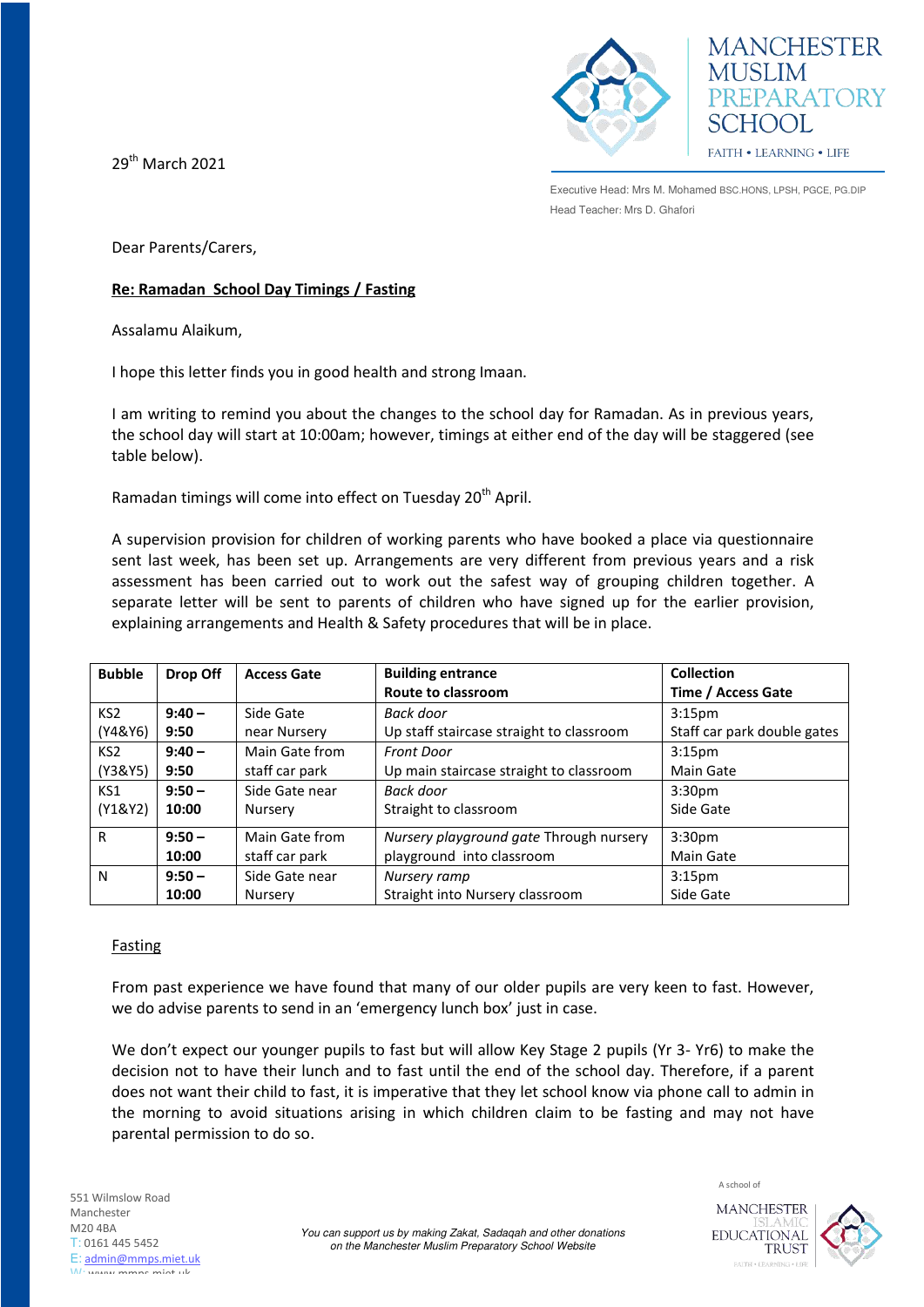29th March 2021



**MANCHESTER MUSLIM** PREPARATORY SCHOOL FAITH . LEARNING . LIFE

Executive Head: Mrs M. Mohamed BSC.HONS, LPSH, PGCE, PG.DIP Head Teacher: Mrs D. Ghafori

Dear Parents/Carers,

## **Re: Ramadan School Day Timings / Fasting**

Assalamu Alaikum,

I hope this letter finds you in good health and strong Imaan.

I am writing to remind you about the changes to the school day for Ramadan. As in previous years, the school day will start at 10:00am; however, timings at either end of the day will be staggered (see table below).

Ramadan timings will come into effect on Tuesday 20<sup>th</sup> April.

A supervision provision for children of working parents who have booked a place via questionnaire sent last week, has been set up. Arrangements are very different from previous years and a risk assessment has been carried out to work out the safest way of grouping children together. A separate letter will be sent to parents of children who have signed up for the earlier provision, explaining arrangements and Health & Safety procedures that will be in place.

| <b>Bubble</b>   | Drop Off | <b>Access Gate</b> | <b>Building entrance</b>                 | <b>Collection</b>           |
|-----------------|----------|--------------------|------------------------------------------|-----------------------------|
|                 |          |                    | Route to classroom                       | Time / Access Gate          |
| KS <sub>2</sub> | $9:40 -$ | Side Gate          | Back door                                | 3:15 <sub>pm</sub>          |
| (Y4&Y6)         | 9:50     | near Nursery       | Up staff staircase straight to classroom | Staff car park double gates |
| KS <sub>2</sub> | $9:40 -$ | Main Gate from     | <b>Front Door</b>                        | 3:15 <sub>pm</sub>          |
| (Y3&Y5)         | 9:50     | staff car park     | Up main staircase straight to classroom  | <b>Main Gate</b>            |
| KS1             | $9:50 -$ | Side Gate near     | Back door                                | 3:30 <sub>pm</sub>          |
| (Y1&Y2)         | 10:00    | Nursery            | Straight to classroom                    | Side Gate                   |
| R               | $9:50 -$ | Main Gate from     | Nursery playground gate Through nursery  | 3:30 <sub>pm</sub>          |
|                 | 10:00    | staff car park     | playground into classroom                | Main Gate                   |
| N               | $9:50 -$ | Side Gate near     | Nursery ramp                             | 3:15 <sub>pm</sub>          |
|                 | 10:00    | <b>Nurserv</b>     | Straight into Nursery classroom          | Side Gate                   |

## Fasting

From past experience we have found that many of our older pupils are very keen to fast. However, we do advise parents to send in an 'emergency lunch box' just in case.

We don't expect our younger pupils to fast but will allow Key Stage 2 pupils (Yr 3- Yr6) to make the decision not to have their lunch and to fast until the end of the school day. Therefore, if a parent does not want their child to fast, it is imperative that they let school know via phone call to admin in the morning to avoid situations arising in which children claim to be fasting and may not have parental permission to do so.

**MANCHESTER EDUCATIONAL** 

**TRUST** 

A school of